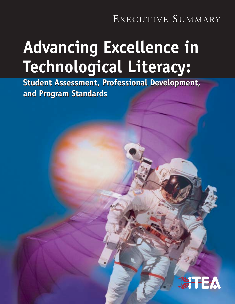## EXECUTIVE SUMMARY

# **Advancing Excellence in Advancing Excellence in Technological Literacy: Technological Literacy:**

**Student Assessment, Professional Development, Student Assessment, Professional Development, and Program Standards and Program Standards**

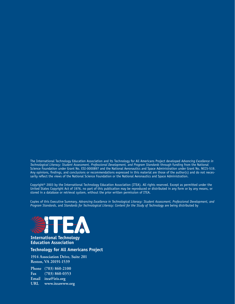The International Technology Education Association and its Technology for All Americans Project developed *Advancing Excellence in Technological Literacy: Student Assessment, Professional Development, and Program Standards* through funding from the National Science Foundation under Grant No. ESI-0000897 and the National Aeronautics and Space Administration under Grant No. NCC5-519. Any opinions, findings, and conclusions or recommendations expressed in this material are those of the author(s) and do not necessarily reflect the views of the National Science Foundation or the National Aeronautics and Space Administration.

Copyright© 2003 by the International Technology Education Association (ITEA). All rights reserved. Except as permitted under the United States Copyright Act of 1976, no part of this publication may be reproduced or distributed in any form or by any means, or stored in a database or retrieval system, without the prior written permission of ITEA.

Copies of this Executive Summary, *Advancing Excellence in Technological Literacy: Student Assessment, Professional Development, and Program Standards*, and *Standards for Technological Literacy: Content for the Study of Technology* are being distributed by



#### **International Technology Education Association**

#### **Technology for All Americans Project**

**1914 Association Drive, Suite 201 Reston, VA 20191-1539**

**Phone (703) 860-2100 Fax (703) 860-0353 Email itea@iris.org URL www.iteawww.org**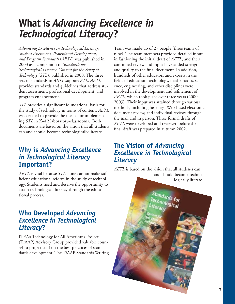## **What is** *Advancing Excellence in Technological Literacy***?**

*Advancing Excellence in Technological Literacy: Student Assessment, Professional Development, and Program Standards* (*AETL*) was published in 2003 as a companion to *Standards for Technological Literacy: Content for the Study of Technology* (*STL*), published in 2000. The three sets of standards in *AETL* support *STL*. *AETL* provides standards and guidelines that address student assessment, professional development, and program enhancement.

*STL* provides a significant foundational basis for the study of technology in terms of content. *AETL* was created to provide the means for implementing *STL* in K–12 laboratory-classrooms. Both documents are based on the vision that all students can and should become technologically literate.

## **Why is** *Advancing Excellence in Technological Literacy* **Important?**

*AETL* is vital because *STL* alone cannot make sufficient educational reform in the study of technology. Students need and deserve the opportunity to attain technological literacy through the educational process.

## **Who Developed** *Advancing Excellence in Technological Literacy***?**

ITEA's Technology for All Americans Project (TfAAP) Advisory Group provided valuable counsel to project staff on the best practices of standards development. The TfAAP Standards Writing

Team was made up of 27 people (three teams of nine). The team members provided detailed input in fashioning the initial draft of *AETL*, and their continued review and input have added strength and quality to the final document. In addition, hundreds of other educators and experts in the fields of education, technology, mathematics, science, engineering, and other disciplines were involved in the development and refinement of *AETL*, which took place over three years (2000- 2003). Their input was attained through various methods, including hearings, Web-based electronic document review, and individual reviews through the mail and in person. Three formal drafts of *AETL* were developed and reviewed before the final draft was prepared in autumn 2002.

## **The Vision of** *Advancing Excellence in Technological Literacy*

*AETL* is based on the vision that all students can and should become technologically literate.

> standards<br><sup>echnolar</sub>: for</sup> <sup>rechnological</sup><br><sup>iterae</sub></sup>

3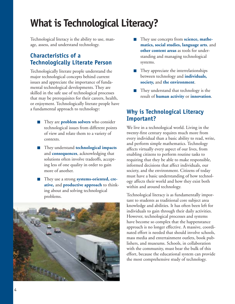## **What is Technological Literacy?**

Technological literacy is the ability to use, manage, assess, and understand technology.

### **Characteristics of a Technologically Literate Person**

Technologically literate people understand the major technological concepts behind current issues and appreciate the importance of fundamental technological developments. They are skilled in the safe use of technological processes that may be prerequisites for their careers, health, or enjoyment. Technologically literate people have a fundamental approach to technology:

- They are **problem solvers** who consider technological issues from different points of view and relate them to a variety of contexts.
- They understand **technological impacts** and **consequences**, acknowledging that solutions often involve tradeoffs, accepting less of one quality in order to gain more of another.
- They use a strong **systems-oriented**, **creative,** and **productive approach** to thinking about and solving technological problems.



- They use concepts from **science, mathematics, social studies, language arts**, and **other content areas** as tools for understanding and managing technological systems.
- $\blacksquare$  They appreciate the interrelationships between technology and **individuals, society,** and **the environment**.
- They understand that technology is the result of **human activity** or **innovation**.

### **Why is Technological Literacy Important?**

We live in a technological world. Living in the twenty-first century requires much more from every individual than a basic ability to read, write, and perform simple mathematics. Technology affects virtually every aspect of our lives, from enabling citizens to perform routine tasks to requiring that they be able to make responsible, informed decisions that affect individuals, our society, and the environment. Citizens of today must have a basic understanding of how technology affects their world and how they exist both within and around technology.

Technological literacy is as fundamentally important to students as traditional core subject area knowledge and abilities. It has often been left for individuals to gain through their daily activities. However, technological processes and systems have become so complex that the happenstance approach is no longer effective. A massive, coordinated effort is needed that should involve schools, mass media and entertainment outlets, book publishers, and museums. Schools, in collaboration with the community, must bear the bulk of this effort, because the educational system can provide the most comprehensive study of technology.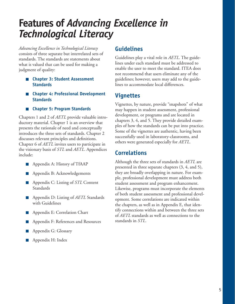## **Features of** *Advancing Excellence in Technological Literacy*

*Advancing Excellence in Technological Literacy* consists of three separate but interrelated sets of standards. The standards are statements about what is valued that can be used for making a judgment of quality:

- **Chapter 3: Student Assessment Standards**
- **Chapter 4: Professional Development Standards**
- **Chapter 5: Program Standards**

Chapters 1 and 2 of *AETL* provide valuable introductory material. Chapter 1 is an overview that presents the rationale of need and conceptually introduces the three sets of standards. Chapter 2 discusses relevant principles and definitions. Chapter 6 of *AETL* invites users to participate in the visionary basis of *STL* and *AETL*. Appendices include:

- **Appendix A: History of TfAAP**
- **Appendix B: Acknowledgements**
- **Appendix C: Listing of** *STL* Content Standards
- **Appendix D: Listing of** *AETL* Standards with Guidelines
- **Appendix E: Correlation Chart**
- **Appendix F: References and Resources**
- **Appendix G: Glossary**
- **Appendix H: Index**

### **Guidelines**

Guidelines play a vital role in *AETL*. The guidelines under each standard must be addressed to enable the user to meet the standard. ITEA does not recommend that users eliminate any of the guidelines; however, users may add to the guidelines to accommodate local differences.

### **Vignettes**

Vignettes, by nature, provide "snapshots" of what may happen in student assessment, professional development, or programs and are located in chapters 3, 4, and 5. They provide detailed examples of how the standards can be put into practice. Some of the vignettes are authentic, having been successfully used in laboratory-classrooms, and others were generated especially for *AETL*.

### **Correlations**

Although the three sets of standards in *AETL* are presented in three separate chapters (3, 4, and 5), they are broadly overlapping in nature. For example, professional development must address both student assessment and program enhancement. Likewise, programs must incorporate the elements of both student assessment and professional development. Some correlations are indicated within the chapters, as well as in Appendix E, that identify connections within and between the three sets of *AETL* standards as well as connections to the standards in *STL*.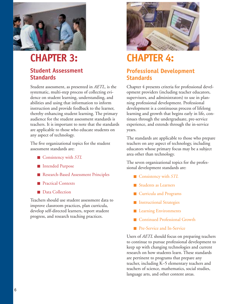

## **CHAPTER 3:**

### **Student Assessment Standards**

Student assessment, as presented in *AETL,* is the systematic, multi-step process of collecting evidence on student learning, understanding, and abilities and using that information to inform instruction and provide feedback to the learner, thereby enhancing student learning. The primary audience for the student assessment standards is teachers. It is important to note that the standards are applicable to those who educate students on any aspect of technology.

The five organizational topics for the student assessment standards are:

- Consistency with *STL*
- Intended Purpose
- Research-Based Assessment Principles
- **Practical Contexts**
- **Data Collection**

Teachers should use student assessment data to improve classroom practices, plan curricula, develop self-directed learners, report student progress, and research teaching practices.



## **CHAPTER 4:**

### **Professional Development Standards**

Chapter 4 presents criteria for professional development providers (including teacher educators, supervisors, and administrators) to use in planning professional development. Professional development is a continuous process of lifelong learning and growth that begins early in life, continues through the undergraduate, pre-service experience, and extends through the in-service years.

The standards are applicable to those who prepare teachers on any aspect of technology, including educators whose primary focus may be a subject area other than technology.

The seven organizational topics for the professional development standards are:

- **Consistency with STL**
- Students as Learners
- **Curricula and Programs**
- **Instructional Strategies**
- **Learning Environments**
- Continued Professional Growth
- **Pre-Service and In-Service**

Users of *AETL* should focus on preparing teachers to continue to pursue professional development to keep up with changing technologies and current research on how students learn. These standards are pertinent to programs that prepare any teacher, including K–5 elementary teachers and teachers of science, mathematics, social studies, language arts, and other content areas.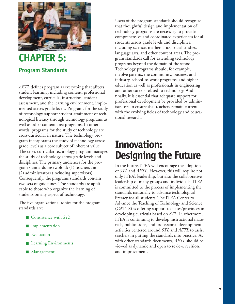

## **CHAPTER 5: Program Standards**

*AETL* defines program as everything that affects student learning, including content, professional development, curricula, instruction, student assessment, and the learning environment, implemented across grade levels. Programs for the study of technology support student attainment of technological literacy through technology programs as well as other content area programs. In other words, programs for the study of technology are cross-curricular in nature. The technology program incorporates the study of technology across grade levels as a core subject of inherent value. The cross-curricular technology program manages the study of technology across grade levels and disciplines. The primary audiences for the program standards are twofold: (1) teachers and (2) administrators (including supervisors). Consequently, the programs standards contain two sets of guidelines. The standards are applicable to those who organize the learning of students on any aspect of technology.

The five organizational topics for the program standards are:

- Consistency with *STL*
- **Implementation**
- **Evaluation**
- **Learning Environments**
- **Management**

Users of the program standards should recognize that thoughtful design and implementation of technology programs are necessary to provide comprehensive and coordinated experiences for all students across grade levels and disciplines, including science, mathematics, social studies, language arts, and other content areas. The program standards call for extending technology programs beyond the domain of the school. Technology programs should, for example, involve parents, the community, business and industry, school-to-work programs, and higher education as well as professionals in engineering and other careers related to technology. And finally, it is essential that adequate support for professional development be provided by administrators to ensure that teachers remain current with the evolving fields of technology and educational research.

## **Innovation: Designing the Future**

In the future, ITEA will encourage the adoption of *STL* and *AETL*. However, this will require not only ITEA's leadership, but also the collaborative leadership of many groups and individuals. ITEA is committed to the process of implementing the standards nationally to advance technological literacy for all students. The ITEA Center to Advance the Teaching of Technology and Science (CATTS) is offering support to states/provinces in developing curricula based on *STL*. Furthermore, ITEA is continuing to develop instructional materials, publications, and professional development activities centered around *STL* and *AETL* to assist teachers in putting the standards into practice. As with other standards documents, *AETL* should be viewed as dynamic and open to review, revision, and improvement.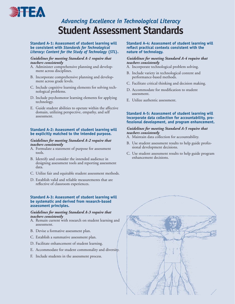

## *Advancing Excellence in Technological Literacy* **Student Assessment Standards**

#### **Standard A-1: Assessment of student learning will be consistent with** *Standards for Technological Literacy: Content for the Study of Technology* **(***STL***).**

#### *Guidelines for meeting Standard A-1 require that teachers consistently*

- A. Administer comprehensive planning and development across disciplines.
- B. Incorporate comprehensive planning and development across grade levels.
- C. Include cognitive learning elements for solving technological problems.
- D. Include psychomotor learning elements for applying technology.
- E. Guide student abilities to operate within the affective domain, utilizing perspective, empathy, and self assessment.

#### **Standard A-2: Assessment of student learning will be explicitly matched to the intended purpose.**

#### *Guidelines for meeting Standard A-2 require that teachers consistently*

- A. Formulate a statement of purpose for assessment tools.
- B. Identify and consider the intended audience in designing assessment tools and reporting assessment data.
- C. Utilize fair and equitable student assessment methods.
- D. Establish valid and reliable measurements that are reflective of classroom experiences.

#### **Standard A-3: Assessment of student learning will be systematic and derived from research-based assessment principles.**

#### *Guidelines for meeting Standard A-3 require that teachers consistently*

- A. Remain current with research on student learning and assessment.
- B. Devise a formative assessment plan.
- C. Establish a summative assessment plan.
- D. Facilitate enhancement of student learning.
- E. Accommodate for student commonality and diversity.
- F. Include students in the assessment process.

#### **Standard A-4: Assessment of student learning will reflect practical contexts consistent with the nature of technology.**

#### *Guidelines for meeting Standard A-4 require that teachers consistently*

- A. Incorporate technological problem solving.
- B. Include variety in technological content and performance-based methods.
- C. Facilitate critical thinking and decision making.
- D. Accommodate for modification to student assessment.
- E. Utilize authentic assessment.

#### **Standard A-5: Assessment of student learning will incorporate data collection for accountability, professional development, and program enhancement.**

#### *Guidelines for meeting Standard A-5 require that teachers consistently*

- A. Maintain data collection for accountability.
- B. Use student assessment results to help guide professional development decisions.
- C. Use student assessment results to help guide program enhancement decisions.

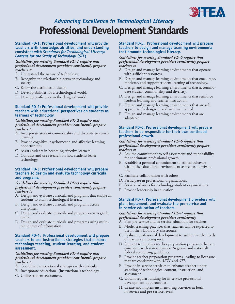

## *Advancing Excellence in Technological Literacy* **Professional Development Standards**

#### **Standard PD-1: Professional development will provide teachers with knowledge, abilities, and understanding consistent with** *Standards for Technological Literacy: Content for the Study of Technology* **(***STL***).**

#### *Guidelines for meeting Standard PD-1 require that professional development providers consistently prepare teachers to*

- A. Understand the nature of technology.
- B. Recognize the relationship between technology and society.
- C. Know the attributes of design.
- D. Develop abilities for a technological world.
- E. Develop proficiency in the designed world.

#### **Standard PD-2: Professional development will provide teachers with educational perspectives on students as learners of technology.**

#### *Guidelines for meeting Standard PD-2 require that professional development providers consistently prepare teachers to*

- A. Incorporate student commonality and diversity to enrich learning.
- B. Provide cognitive, psychomotor, and affective learning opportunities.
- C. Assist students in becoming effective learners.
- D. Conduct and use research on how students learn technology.

#### **Standard PD-3: Professional development will prepare teachers to design and evaluate technology curricula and programs.**

#### *Guidelines for meeting Standard PD-3 require that professional development providers consistently prepare teachers to*

- A. Design and evaluate curricula and programs that enable all students to attain technological literacy.
- B. Design and evaluate curricula and programs across disciplines.
- C. Design and evaluate curricula and programs across grade levels.
- D. Design and evaluate curricula and programs using multiple sources of information.

#### **Standard PD-4: Professional development will prepare teachers to use instructional strategies that enhance technology teaching, student learning, and student assessment.**

#### *Guidelines for meeting Standard PD-4 require that professional development providers consistently prepare teachers to*

- A. Coordinate instructional strategies with curricula.
- B. Incorporate educational (instructional) technology.
- C. Utilize student assessment.

#### **Standard PD-5: Professional development will prepare teachers to design and manage learning environments that promote technological literacy.**

#### *Guidelines for meeting Standard PD-5 require that professional development providers consistently prepare teachers to*

- A. Design and manage learning environments that operate with sufficient resources.
- B. Design and manage learning environments that encourage, motivate, and support student learning of technology.
- C. Design and manage learning environments that accommodate student commonality and diversity.
- D. Design and manage learning environments that reinforce student learning and teacher instruction.
- E. Design and manage learning environments that are safe, appropriately designed, and well maintained.
- F. Design and manage learning environments that are adaptable.

#### **Standard PD-6: Professional development will prepare teachers to be responsible for their own continued professional growth.**

#### *Guidelines for meeting Standard PD-6 require that professional development providers consistently prepare teachers to*

- A. Assume commitment to self assessment and responsibility for continuous professional growth.
- B. Establish a personal commitment to ethical behavior within the educational environment as well as in private life.
- C. Facilitate collaboration with others.
- D. Participate in professional organizations.
- E. Serve as advisors for technology student organizations.
- F. Provide leadership in education.

#### **Standard PD-7: Professional development providers will plan, implement, and evaluate the pre-service and in-service education of teachers.**

#### *Guidelines for meeting Standard PD-7 require that professional development providers consistently*

- A. Plan pre-service and in-service education for teachers.
- B. Model teaching practices that teachers will be expected to use in their laboratory-classrooms.
- C. Evaluate professional development to assure that the needs of teachers are being met.
- D. Support technology teacher preparation programs that are consistent with state/provincial/regional and national/ federal accrediting guidelines.
- E. Provide teacher preparation programs, leading to licensure, that are consistent with *AETL* and *STL.*
- F. Provide in-service activities to enhance teacher understanding of technological content, instruction, and assessment.
- G. Obtain regular funding for in-service professional development opportunities.
- H. Create and implement mentoring activities at both in-service and pre-service levels.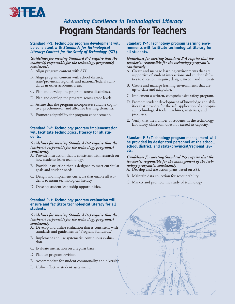

## *Advancing Excellence in Technological Literacy* **Program Standards for Teachers**

#### **Standard P-1: Technology program development will be consistent with** *Standards for Technological Literacy: Content for the Study of Technology* **(***STL***).**

#### *Guidelines for meeting Standard P-1 require that the teacher(s) responsible for the technology program(s) consistently*

- A. Align program content with *STL*.
- B. Align program content with school district, state/provincial/regional, and national/federal standards in other academic areas.
- C. Plan and develop the program across disciplines.
- D. Plan and develop the program across grade levels.
- E. Assure that the program incorporates suitable cognitive, psychomotor, and affective learning elements.
- F. Promote adaptability for program enhancement.

#### **Standard P-2: Technology program implementation will facilitate technological literacy for all students.**

#### *Guidelines for meeting Standard P-2 require that the teacher(s) responsible for the technology program(s) consistently*

- A. Provide instruction that is consistent with research on how students learn technology.
- B. Provide instruction that is designed to meet curricular goals and student needs.
- C. Design and implement curricula that enable all students to attain technological literacy.
- D. Develop student leadership opportunities.

#### **Standard P-3: Technology program evaluation will ensure and facilitate technological literacy for all students.**

#### *Guidelines for meeting Standard P-3 require that the teacher(s) responsible for the technology program(s) consistently*

- A. Develop and utilize evaluation that is consistent with standards and guidelines in "Program Standards."
- B. Implement and use systematic, continuous evaluation.
- C. Evaluate instruction on a regular basis.
- D. Plan for program revision.
- E. Accommodate for student commonality and diversity.
- F. Utilize effective student assessment.

**Standard P-4: Technology program learning environments will facilitate technological literacy for all students.** 

#### *Guidelines for meeting Standard P-4 require that the teacher(s) responsible for the technology program(s) consistently*

- A. Create and manage learning environments that are supportive of student interactions and student abilities to question, inquire, design, invent, and innovate.
- B. Create and manage learning environments that are up-to-date and adaptable.
- C. Implement a written, comprehensive safety program.
- D. Promote student development of knowledge and abilities that provides for the safe application of appropriate technological tools, machines, materials, and processes.
- E. Verify that the number of students in the technology laboratory-classroom does not exceed its capacity.

#### **Standard P-5: Technology program management will be provided by designated personnel at the school, school district, and state/provincial/regional levels.**

#### *Guidelines for meeting Standard P-5 require that the teacher(s) responsible for the management of the technology program(s) consistently*

- A. Develop and use action plans based on *STL.*
- B. Maintain data collection for accountability.
- C. Market and promote the study of technology.

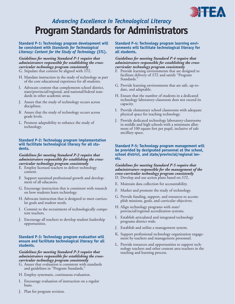

## *Advancing Excellence in Technological Literacy* **Program Standards for Administrators**

#### **Standard P-1: Technology program development will be consistent with** *Standards for Technological Literacy: Content for the Study of Technology* **(***STL***).**

#### *Guidelines for meeting Standard P-1 require that administrators responsible for establishing the crosscurricular technology program consistently* G. Stipulate that content be aligned with *STL*.

- H. Mandate instruction in the study of technology as part of the core educational experience for all students.
- I. Advocate content that complements school district, state/provincial/regional, and national/federal standards in other academic areas.
- J. Assure that the study of technology occurs across disciplines.
- K Assure that the study of technology occurs across grade levels.
- L. Promote adaptability to enhance the study of technology.

#### **Standard P-2: Technology program implementation will facilitate technological literacy for all students.**

#### *Guidelines for meeting Standard P-2 require that administrators responsible for establishing the crosscurricular technology program consistently*

- E. Employ licensed teachers to deliver technology content.
- F. Support sustained professional growth and development of all educators.
- G. Encourage instruction that is consistent with research on how students learn technology.
- H. Advocate instruction that is designed to meet curricular goals and student needs.
- I. Commit to the recruitment of technologically competent teachers.
- J. Encourage all teachers to develop student leadership opportunities.

#### **Standard P-3: Technology program evaluation will ensure and facilitate technological literacy for all students.**

#### *Guidelines for meeting Standard P-3 require that administrators responsible for establishing the crosscurricular technology program consistently*

- G. Assure that evaluation is consistent with standards and guidelines in "Program Standards."
- H. Employ systematic, continuous evaluation.
- I. Encourage evaluation of instruction on a regular basis.

**Standard P-4: Technology program learning environments will facilitate technological literacy for all students.** 

#### *Guidelines for meeting Standard P-4 require that administrators responsible for establishing the crosscurricular technology program consistently*

- F. Provide learning environments that are designed to facilitate delivery of *STL* and satisfy "Program Standards.'
- G. Provide learning environments that are safe, up-todate, and adaptable.
- H. Ensure that the number of students in a dedicated technology laboratory-classroom does not exceed its capacity.
- I. Provide elementary school classrooms with adequate physical space for teaching technology.
- J. Provide dedicated technology laboratory-classrooms in middle and high schools with a minimum allotment of 100 square feet per pupil, inclusive of safe ancillary space.

#### **Standard P-5: Technology program management will be provided by designated personnel at the school, school district, and state/provincial/regional levels.**

#### *Guidelines for meeting Standard P-5 require that administrators responsible for the management of the cross-curricular technology program consistently* D. Develop and use action plans based on *STL*.

- E. Maintain data collection for accountability.
- F. Market and promote the study of technology.
- G. Provide funding, support, and resources to accomplish missions, goals, and curricular objectives.
- H. Align technology programs with state/ provincial/regional accreditation systems.
- I. Establish articulated and integrated technology programs district wide.
- J. Establish and utilize a management system.
- K. Support professional technology organization engagement by teachers and management personnel.
- L. Provide resources and opportunities to support technology teachers and other content area teachers in the teaching and learning process.

J. Plan for program revision.